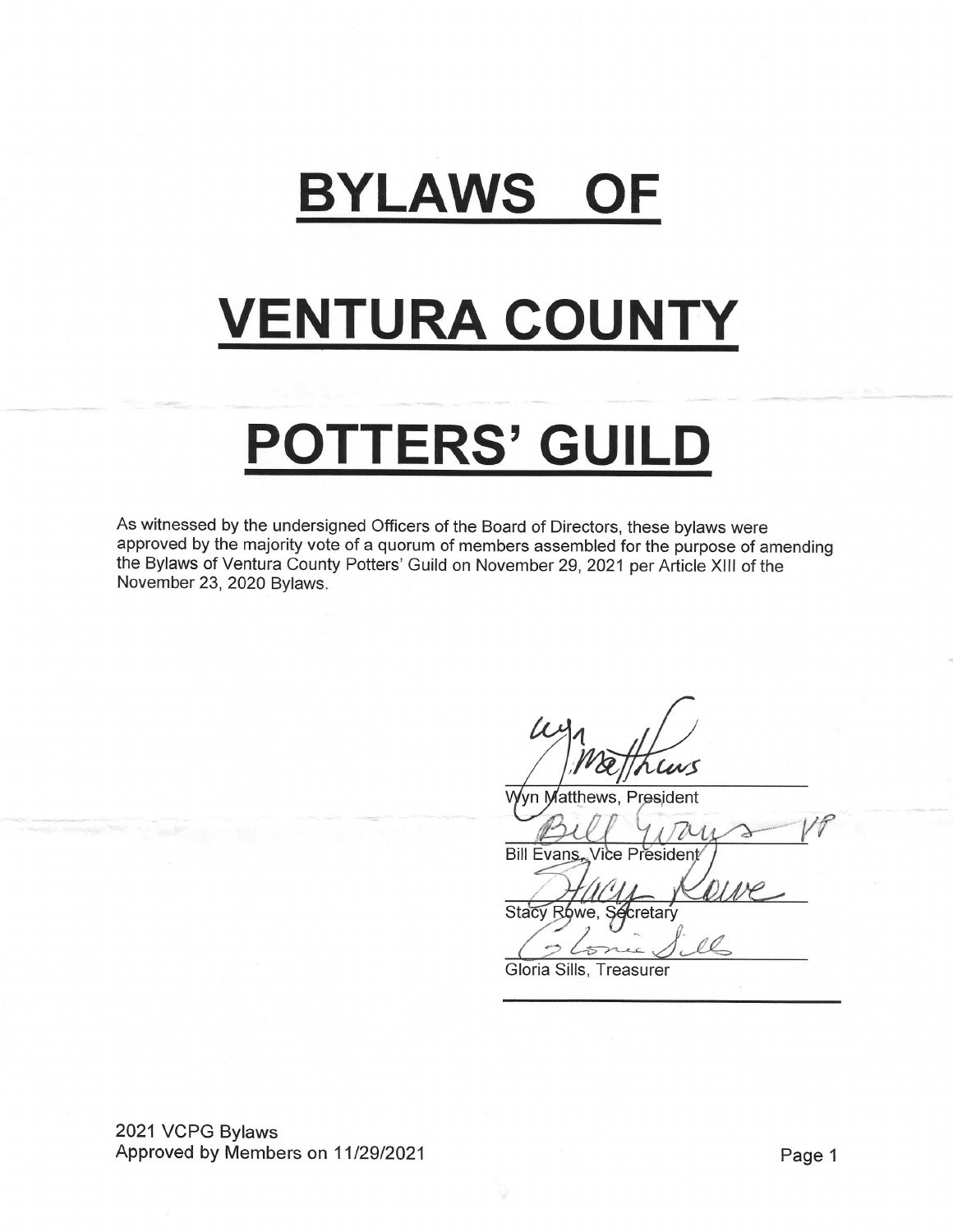## **BYLAWS OF**

# **VENTURA COUNTY**

# POTTERS' GUILD

As witnessed by the undersigned Officers of the Board of Directors, these bylaws were approved by the majority vote of a quorum of members assembled for the purpose of amending the Bylaws of Ventura County Potters' Guild on November 29, 2021 per Article XIII of the November 23, 2020 Bylaws.

cus

Wyn Matthews, President

Bill Evans, Vice President

eive

Stacy Rowe, Secretary

 $\overline{\mathcal{D}}$ 

Gloria Sills, Treasurer

2021 VCPG Bylaws Approved by Members on 11/29/2021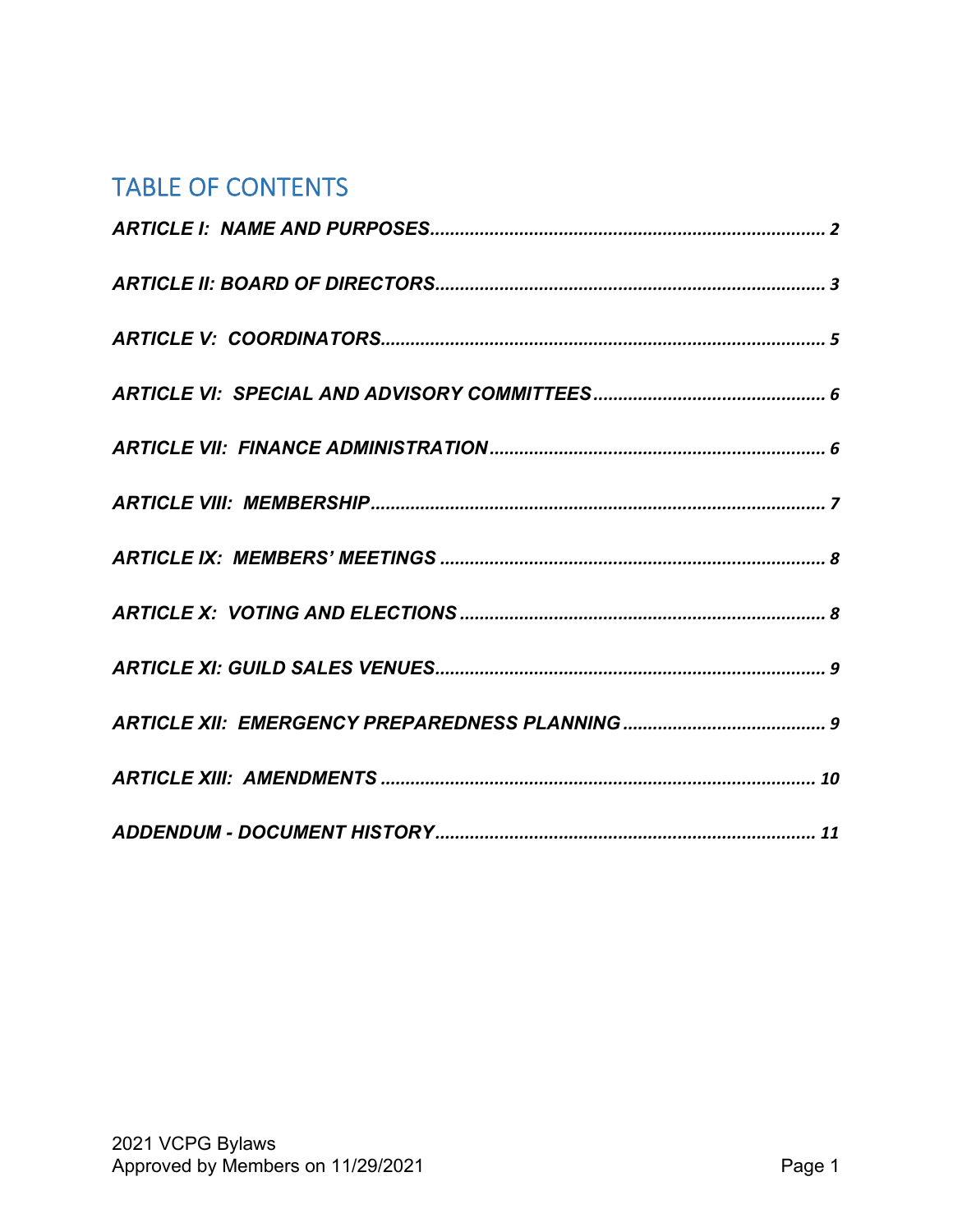### TABLE OF CONTENTS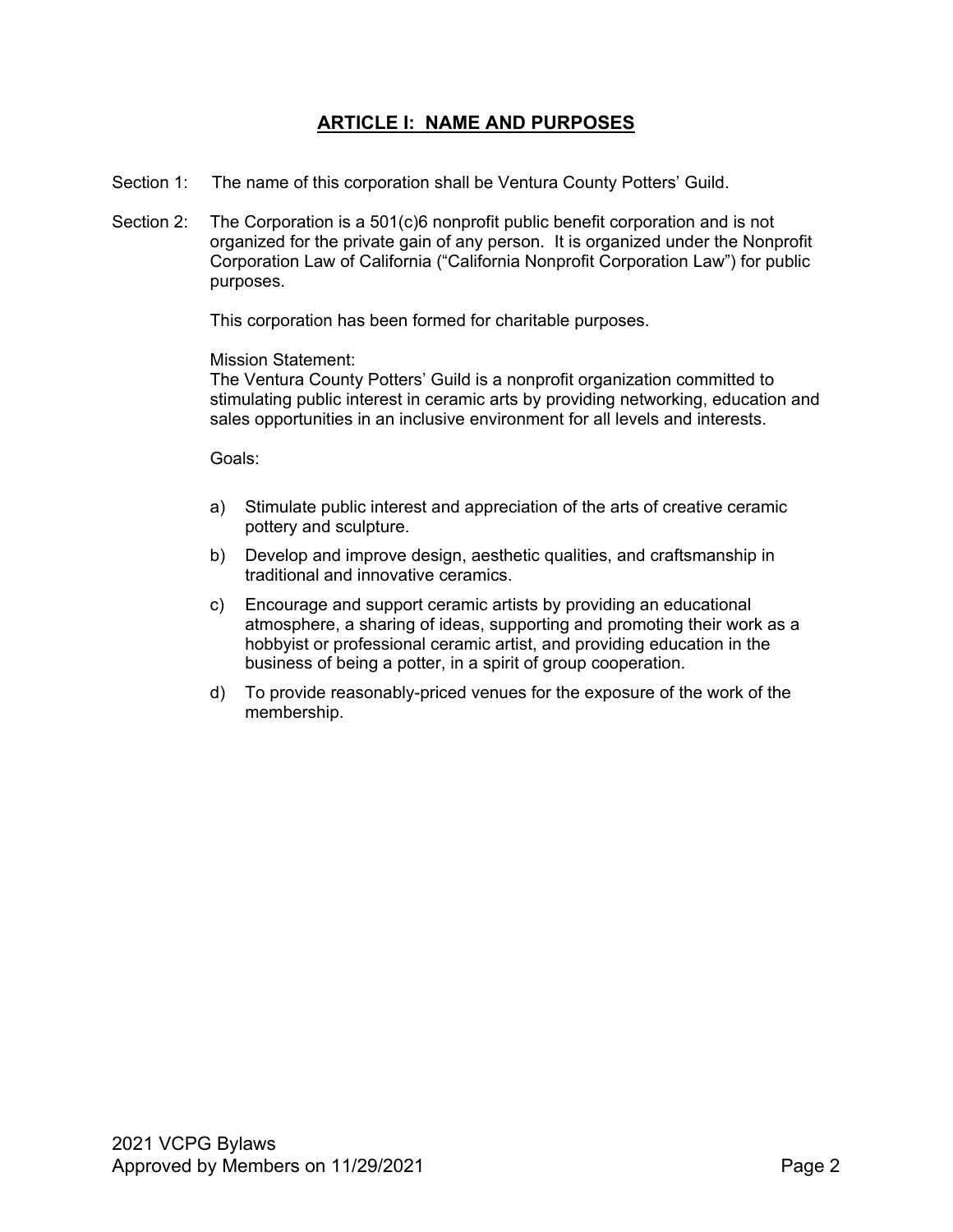#### **ARTICLE I: NAME AND PURPOSES**

- Section 1: The name of this corporation shall be Ventura County Potters' Guild.
- Section 2: The Corporation is a 501(c)6 nonprofit public benefit corporation and is not organized for the private gain of any person. It is organized under the Nonprofit Corporation Law of California ("California Nonprofit Corporation Law") for public purposes.

This corporation has been formed for charitable purposes.

#### Mission Statement:

The Ventura County Potters' Guild is a nonprofit organization committed to stimulating public interest in ceramic arts by providing networking, education and sales opportunities in an inclusive environment for all levels and interests.

Goals:

- a) Stimulate public interest and appreciation of the arts of creative ceramic pottery and sculpture.
- b) Develop and improve design, aesthetic qualities, and craftsmanship in traditional and innovative ceramics.
- c) Encourage and support ceramic artists by providing an educational atmosphere, a sharing of ideas, supporting and promoting their work as a hobbyist or professional ceramic artist, and providing education in the business of being a potter, in a spirit of group cooperation.
- d) To provide reasonably-priced venues for the exposure of the work of the membership.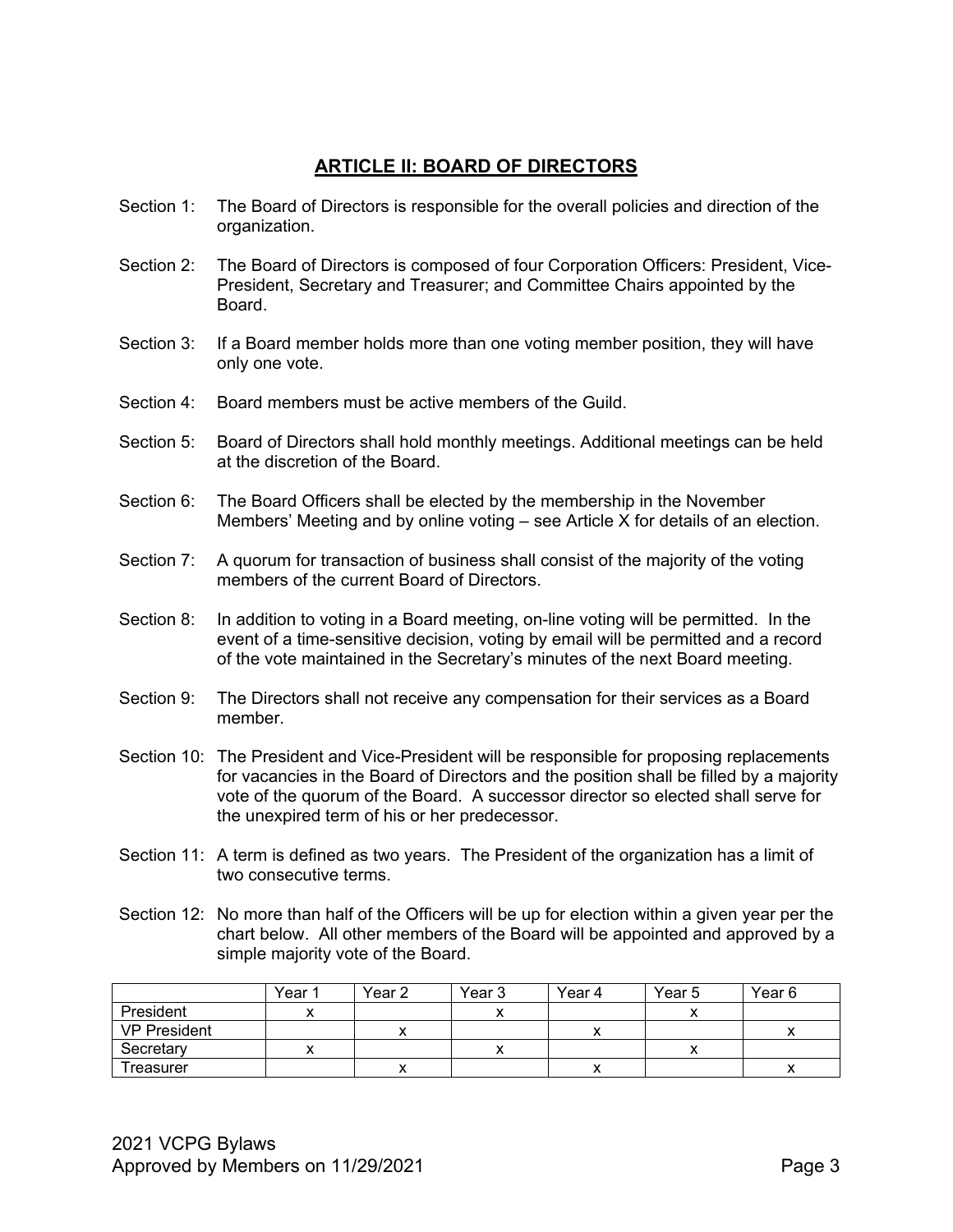#### **ARTICLE II: BOARD OF DIRECTORS**

- Section 1: The Board of Directors is responsible for the overall policies and direction of the organization.
- Section 2: The Board of Directors is composed of four Corporation Officers: President, Vice-President, Secretary and Treasurer; and Committee Chairs appointed by the Board.
- Section 3: If a Board member holds more than one voting member position, they will have only one vote.
- Section 4: Board members must be active members of the Guild
- Section 5: Board of Directors shall hold monthly meetings. Additional meetings can be held at the discretion of the Board.
- Section 6: The Board Officers shall be elected by the membership in the November Members' Meeting and by online voting – see Article X for details of an election.
- Section 7: A quorum for transaction of business shall consist of the majority of the voting members of the current Board of Directors.
- Section 8: In addition to voting in a Board meeting, on-line voting will be permitted. In the event of a time-sensitive decision, voting by email will be permitted and a record of the vote maintained in the Secretary's minutes of the next Board meeting.
- Section 9: The Directors shall not receive any compensation for their services as a Board member.
- Section 10: The President and Vice-President will be responsible for proposing replacements for vacancies in the Board of Directors and the position shall be filled by a majority vote of the quorum of the Board. A successor director so elected shall serve for the unexpired term of his or her predecessor.
- Section 11: A term is defined as two years. The President of the organization has a limit of two consecutive terms.
- Section 12: No more than half of the Officers will be up for election within a given year per the chart below. All other members of the Board will be appointed and approved by a simple majority vote of the Board.

|                     | Year ' | Year <sub>2</sub> | Year 3 | Year 4 | Year 5 | Year 6 |
|---------------------|--------|-------------------|--------|--------|--------|--------|
| President           |        |                   |        |        |        |        |
| <b>VP President</b> |        |                   |        |        |        |        |
| Secretary           |        |                   |        |        |        |        |
| Treasurer           |        |                   |        |        |        | ↗      |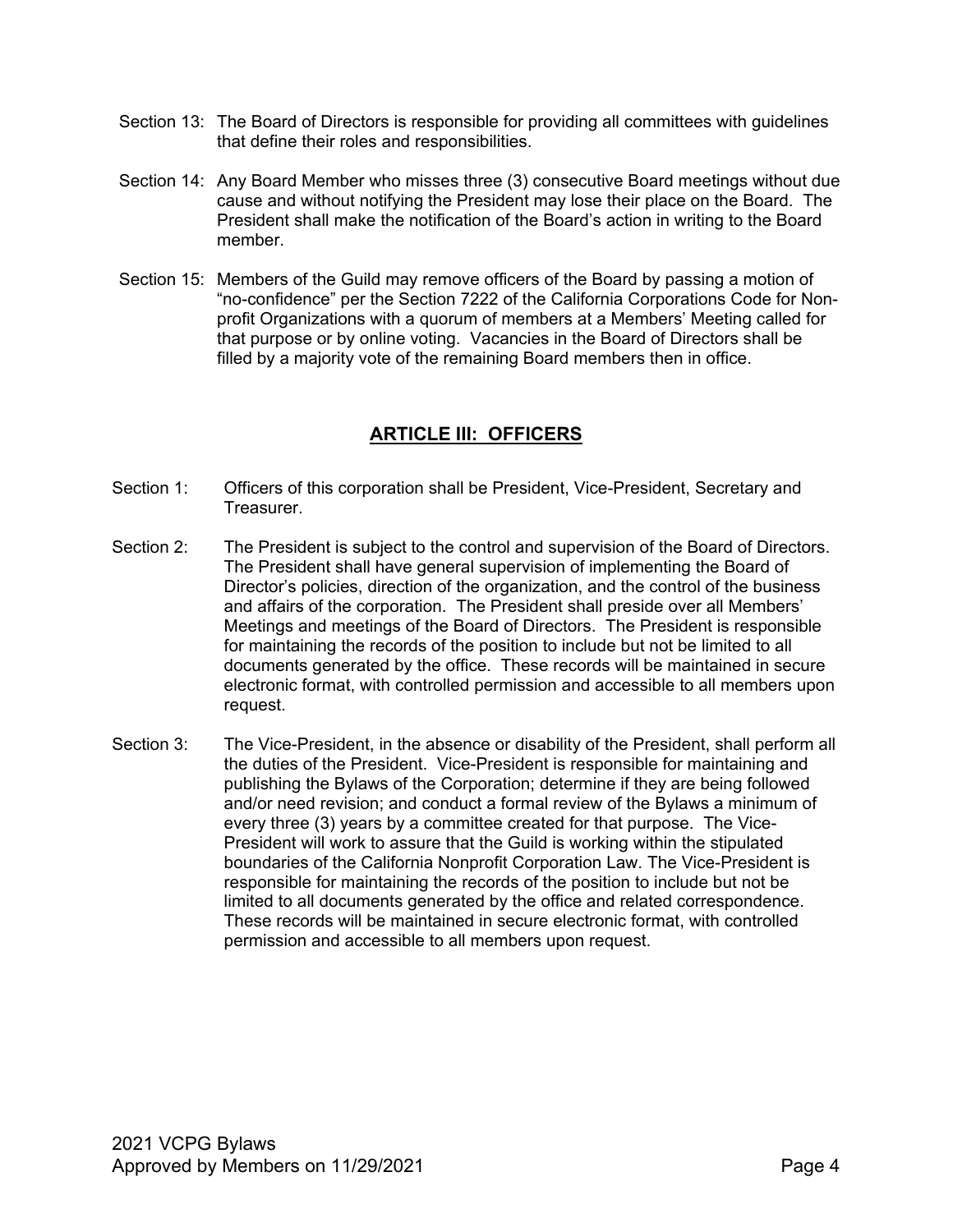- Section 13: The Board of Directors is responsible for providing all committees with guidelines that define their roles and responsibilities.
- Section 14: Any Board Member who misses three (3) consecutive Board meetings without due cause and without notifying the President may lose their place on the Board. The President shall make the notification of the Board's action in writing to the Board member.
- Section 15: Members of the Guild may remove officers of the Board by passing a motion of "no-confidence" per the Section 7222 of the California Corporations Code for Nonprofit Organizations with a quorum of members at a Members' Meeting called for that purpose or by online voting. Vacancies in the Board of Directors shall be filled by a majority vote of the remaining Board members then in office.

### **ARTICLE III: OFFICERS**

- Section 1: Officers of this corporation shall be President, Vice-President, Secretary and Treasurer.
- Section 2: The President is subject to the control and supervision of the Board of Directors. The President shall have general supervision of implementing the Board of Director's policies, direction of the organization, and the control of the business and affairs of the corporation. The President shall preside over all Members' Meetings and meetings of the Board of Directors. The President is responsible for maintaining the records of the position to include but not be limited to all documents generated by the office. These records will be maintained in secure electronic format, with controlled permission and accessible to all members upon request.
- Section 3: The Vice-President, in the absence or disability of the President, shall perform all the duties of the President. Vice-President is responsible for maintaining and publishing the Bylaws of the Corporation; determine if they are being followed and/or need revision; and conduct a formal review of the Bylaws a minimum of every three (3) years by a committee created for that purpose. The Vice-President will work to assure that the Guild is working within the stipulated boundaries of the California Nonprofit Corporation Law. The Vice-President is responsible for maintaining the records of the position to include but not be limited to all documents generated by the office and related correspondence. These records will be maintained in secure electronic format, with controlled permission and accessible to all members upon request.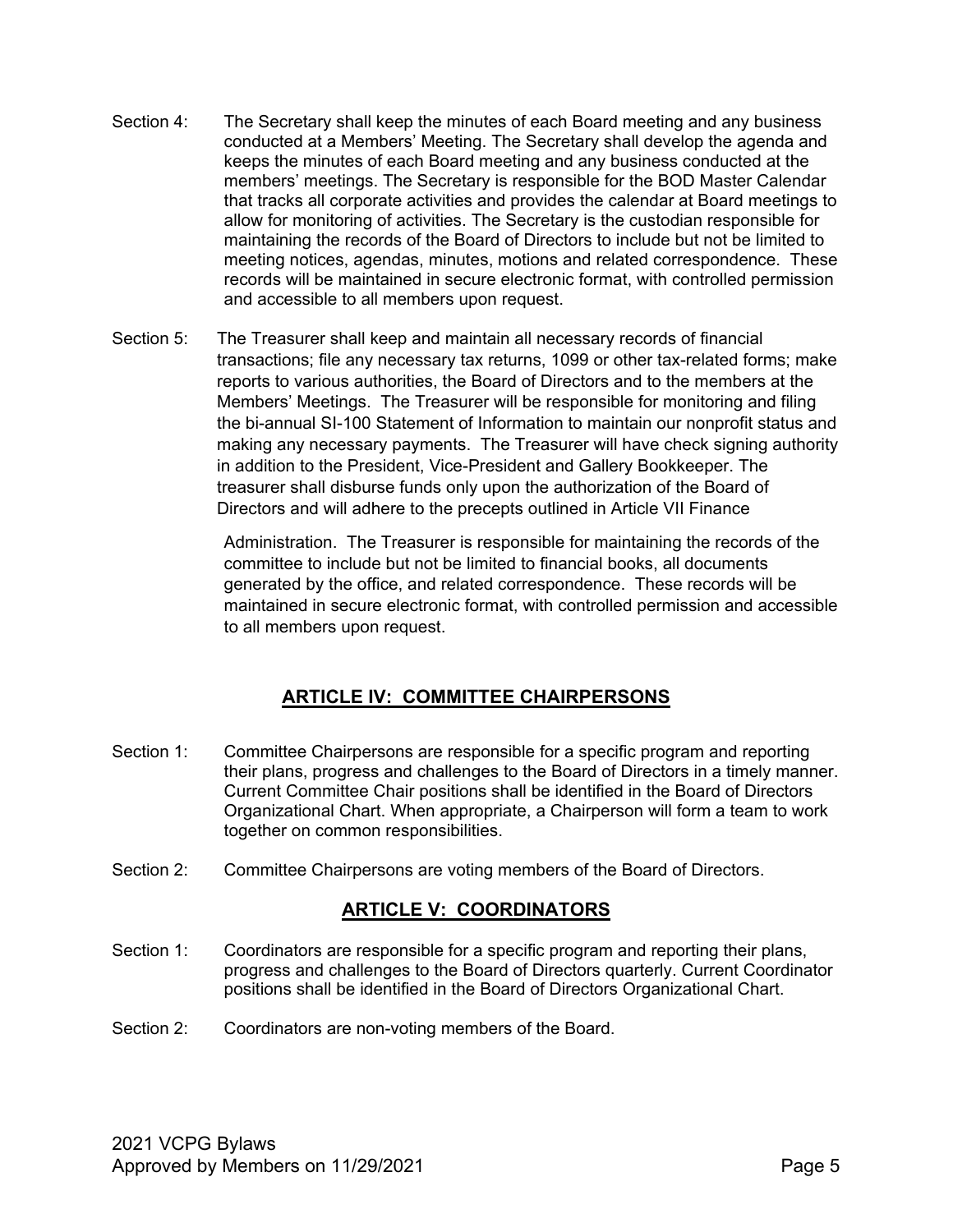- Section 4: The Secretary shall keep the minutes of each Board meeting and any business conducted at a Members' Meeting. The Secretary shall develop the agenda and keeps the minutes of each Board meeting and any business conducted at the members' meetings. The Secretary is responsible for the BOD Master Calendar that tracks all corporate activities and provides the calendar at Board meetings to allow for monitoring of activities. The Secretary is the custodian responsible for maintaining the records of the Board of Directors to include but not be limited to meeting notices, agendas, minutes, motions and related correspondence. These records will be maintained in secure electronic format, with controlled permission and accessible to all members upon request.
- Section 5: The Treasurer shall keep and maintain all necessary records of financial transactions; file any necessary tax returns, 1099 or other tax-related forms; make reports to various authorities, the Board of Directors and to the members at the Members' Meetings. The Treasurer will be responsible for monitoring and filing the bi-annual SI-100 Statement of Information to maintain our nonprofit status and making any necessary payments. The Treasurer will have check signing authority in addition to the President, Vice-President and Gallery Bookkeeper. The treasurer shall disburse funds only upon the authorization of the Board of Directors and will adhere to the precepts outlined in Article VII Finance

Administration. The Treasurer is responsible for maintaining the records of the committee to include but not be limited to financial books, all documents generated by the office, and related correspondence. These records will be maintained in secure electronic format, with controlled permission and accessible to all members upon request.

#### **ARTICLE IV: COMMITTEE CHAIRPERSONS**

- Section 1: Committee Chairpersons are responsible for a specific program and reporting their plans, progress and challenges to the Board of Directors in a timely manner. Current Committee Chair positions shall be identified in the Board of Directors Organizational Chart. When appropriate, a Chairperson will form a team to work together on common responsibilities.
- Section 2: Committee Chairpersons are voting members of the Board of Directors.

#### **ARTICLE V: COORDINATORS**

- Section 1: Coordinators are responsible for a specific program and reporting their plans, progress and challenges to the Board of Directors quarterly. Current Coordinator positions shall be identified in the Board of Directors Organizational Chart.
- Section 2: Coordinators are non-voting members of the Board.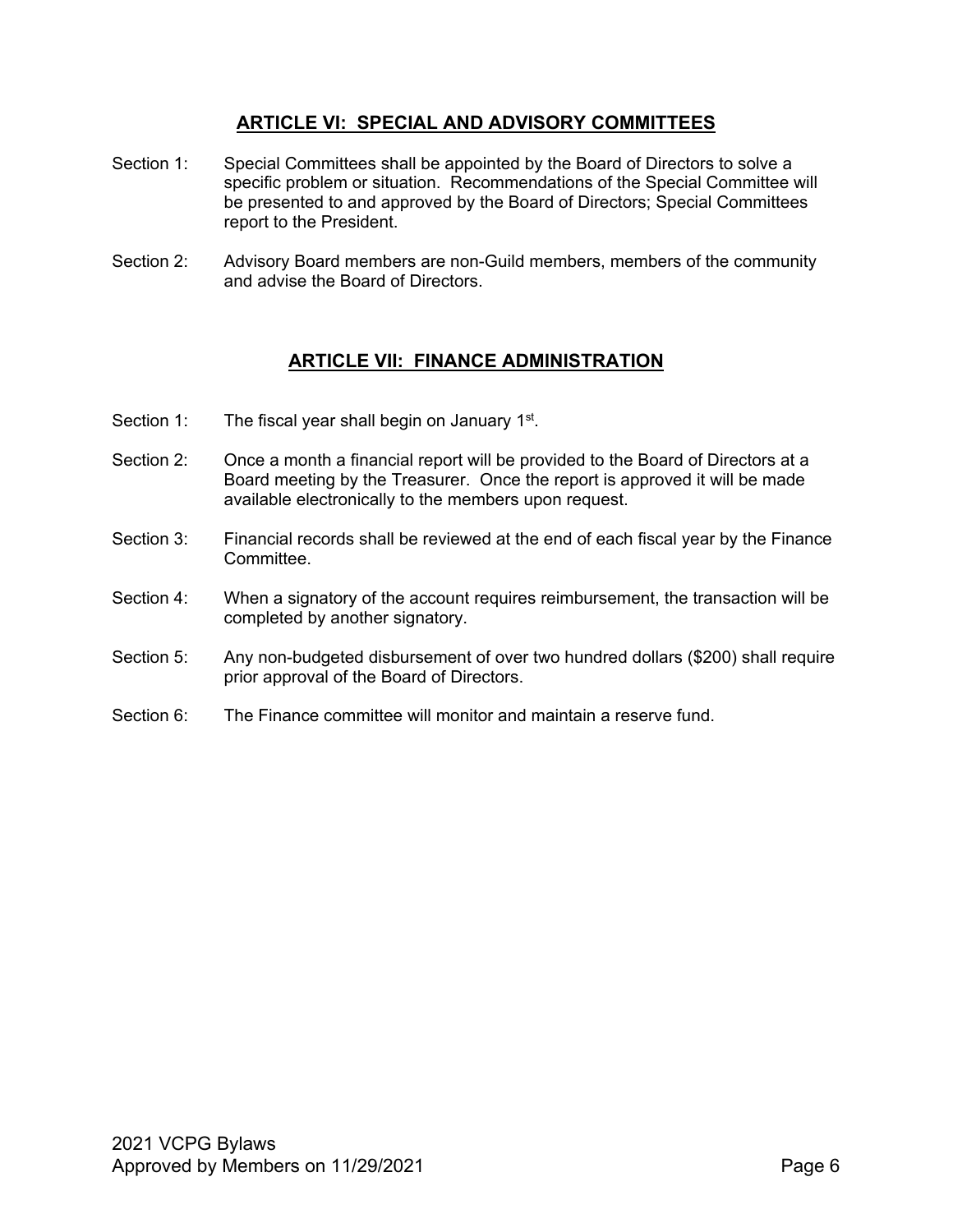#### **ARTICLE VI: SPECIAL AND ADVISORY COMMITTEES**

- Section 1: Special Committees shall be appointed by the Board of Directors to solve a specific problem or situation. Recommendations of the Special Committee will be presented to and approved by the Board of Directors; Special Committees report to the President.
- Section 2: Advisory Board members are non-Guild members, members of the community and advise the Board of Directors.

#### **ARTICLE VII: FINANCE ADMINISTRATION**

- Section 1: The fiscal year shall begin on January 1<sup>st</sup>.
- Section 2: Once a month a financial report will be provided to the Board of Directors at a Board meeting by the Treasurer. Once the report is approved it will be made available electronically to the members upon request.
- Section 3: Financial records shall be reviewed at the end of each fiscal year by the Finance Committee.
- Section 4: When a signatory of the account requires reimbursement, the transaction will be completed by another signatory.
- Section 5: Any non-budgeted disbursement of over two hundred dollars (\$200) shall require prior approval of the Board of Directors.
- Section 6: The Finance committee will monitor and maintain a reserve fund.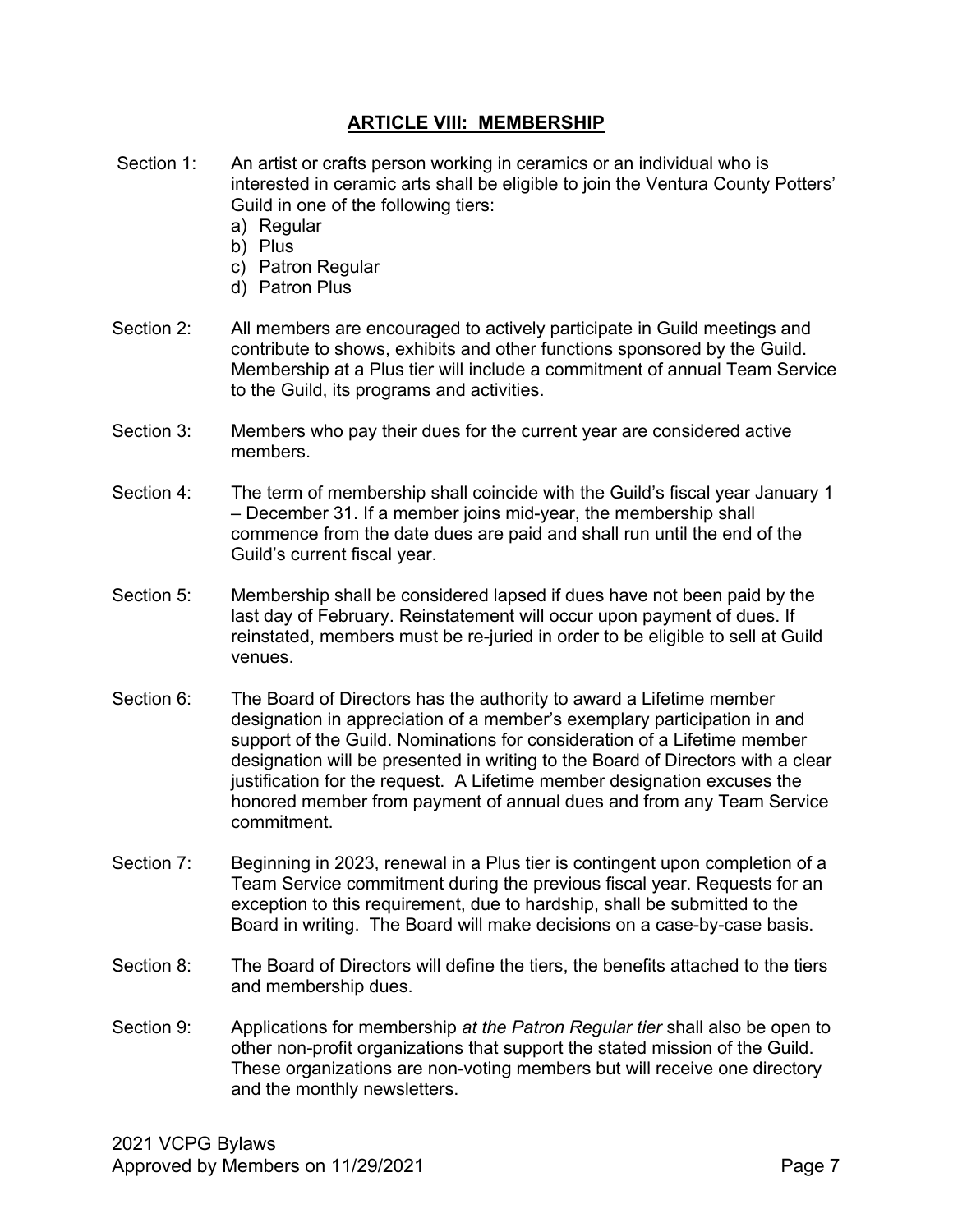#### **ARTICLE VIII: MEMBERSHIP**

- Section 1: An artist or crafts person working in ceramics or an individual who is interested in ceramic arts shall be eligible to join the Ventura County Potters' Guild in one of the following tiers:
	- a) Regular
	- b) Plus
	- c) Patron Regular
	- d) Patron Plus
- Section 2: All members are encouraged to actively participate in Guild meetings and contribute to shows, exhibits and other functions sponsored by the Guild. Membership at a Plus tier will include a commitment of annual Team Service to the Guild, its programs and activities.
- Section 3: Members who pay their dues for the current year are considered active members.
- Section 4: The term of membership shall coincide with the Guild's fiscal year January 1 – December 31. If a member joins mid-year, the membership shall commence from the date dues are paid and shall run until the end of the Guild's current fiscal year.
- Section 5: Membership shall be considered lapsed if dues have not been paid by the last day of February. Reinstatement will occur upon payment of dues. If reinstated, members must be re-juried in order to be eligible to sell at Guild venues.
- Section 6: The Board of Directors has the authority to award a Lifetime member designation in appreciation of a member's exemplary participation in and support of the Guild. Nominations for consideration of a Lifetime member designation will be presented in writing to the Board of Directors with a clear justification for the request. A Lifetime member designation excuses the honored member from payment of annual dues and from any Team Service commitment.
- Section 7: Beginning in 2023, renewal in a Plus tier is contingent upon completion of a Team Service commitment during the previous fiscal year. Requests for an exception to this requirement, due to hardship, shall be submitted to the Board in writing. The Board will make decisions on a case-by-case basis.
- Section 8: The Board of Directors will define the tiers, the benefits attached to the tiers and membership dues.
- Section 9: Applications for membership *at the Patron Regular tier* shall also be open to other non-profit organizations that support the stated mission of the Guild. These organizations are non-voting members but will receive one directory and the monthly newsletters.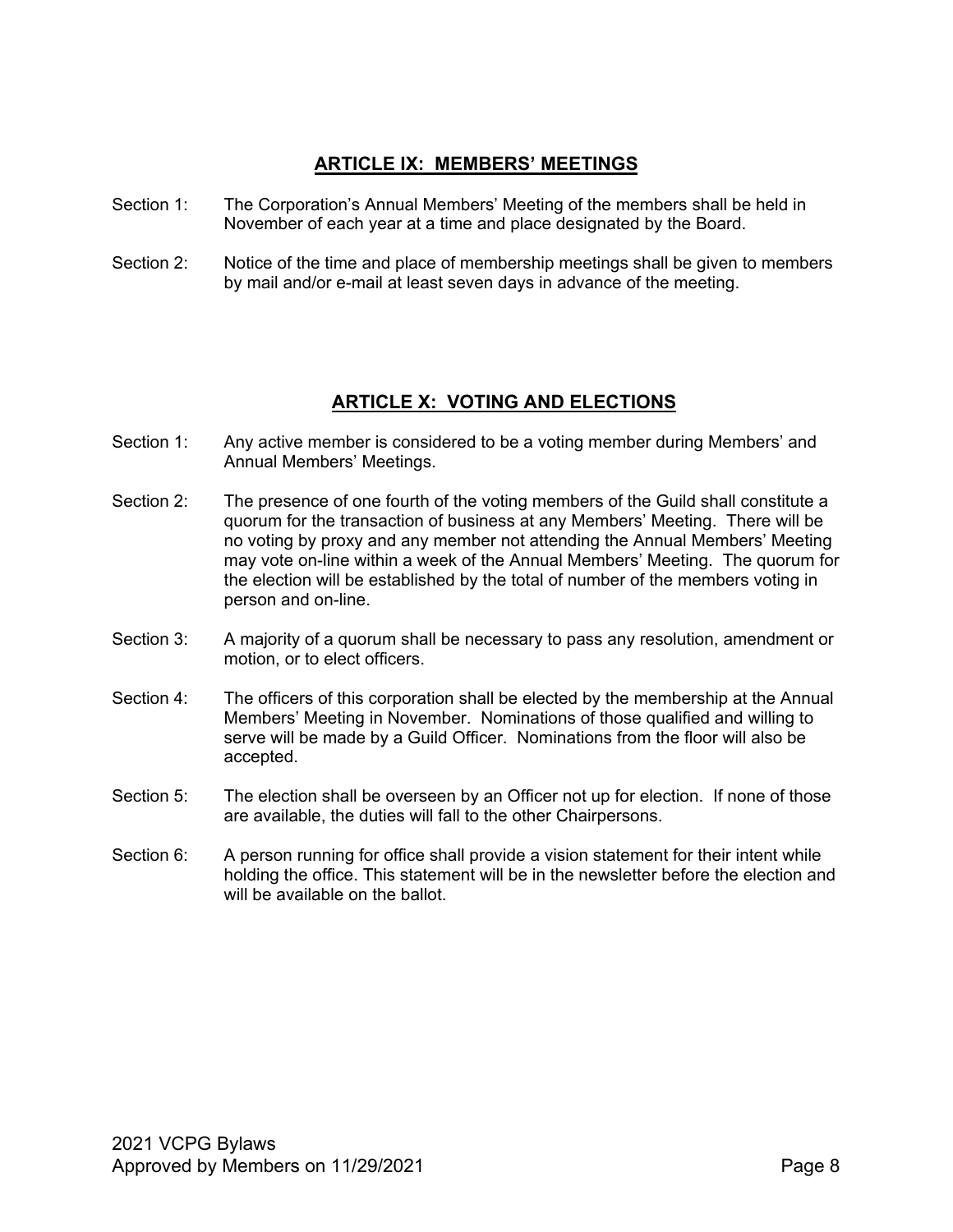#### **ARTICLE IX: MEMBERS' MEETINGS**

- Section 1: The Corporation's Annual Members' Meeting of the members shall be held in November of each year at a time and place designated by the Board.
- Section 2: Notice of the time and place of membership meetings shall be given to members by mail and/or e-mail at least seven days in advance of the meeting.

#### **ARTICLE X: VOTING AND ELECTIONS**

- Section 1: Any active member is considered to be a voting member during Members' and Annual Members' Meetings.
- Section 2: The presence of one fourth of the voting members of the Guild shall constitute a quorum for the transaction of business at any Members' Meeting. There will be no voting by proxy and any member not attending the Annual Members' Meeting may vote on-line within a week of the Annual Members' Meeting. The quorum for the election will be established by the total of number of the members voting in person and on-line.
- Section 3: A majority of a quorum shall be necessary to pass any resolution, amendment or motion, or to elect officers.
- Section 4: The officers of this corporation shall be elected by the membership at the Annual Members' Meeting in November. Nominations of those qualified and willing to serve will be made by a Guild Officer. Nominations from the floor will also be accepted.
- Section 5: The election shall be overseen by an Officer not up for election. If none of those are available, the duties will fall to the other Chairpersons.
- Section 6: A person running for office shall provide a vision statement for their intent while holding the office. This statement will be in the newsletter before the election and will be available on the ballot.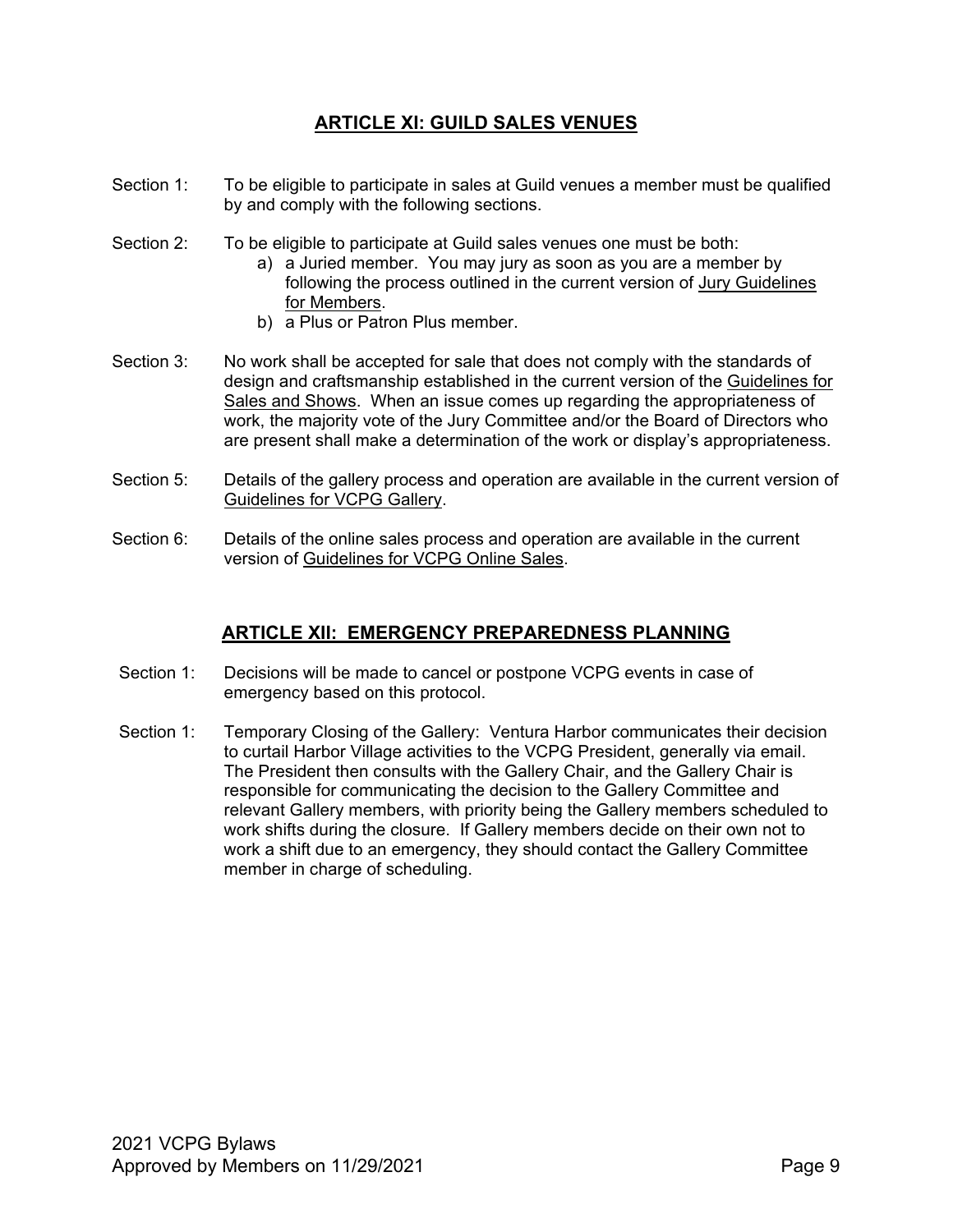#### **ARTICLE XI: GUILD SALES VENUES**

- Section 1: To be eligible to participate in sales at Guild venues a member must be qualified by and comply with the following sections.
- Section 2: To be eligible to participate at Guild sales venues one must be both:
	- a) a Juried member. You may jury as soon as you are a member by following the process outlined in the current version of Jury Guidelines for Members.
	- b) a Plus or Patron Plus member.
- Section 3: No work shall be accepted for sale that does not comply with the standards of design and craftsmanship established in the current version of the Guidelines for Sales and Shows. When an issue comes up regarding the appropriateness of work, the majority vote of the Jury Committee and/or the Board of Directors who are present shall make a determination of the work or display's appropriateness.
- Section 5: Details of the gallery process and operation are available in the current version of Guidelines for VCPG Gallery.
- Section 6: Details of the online sales process and operation are available in the current version of Guidelines for VCPG Online Sales.

#### **ARTICLE XII: EMERGENCY PREPAREDNESS PLANNING**

- Section 1: Decisions will be made to cancel or postpone VCPG events in case of emergency based on this protocol.
- Section 1: Temporary Closing of the Gallery: Ventura Harbor communicates their decision to curtail Harbor Village activities to the VCPG President, generally via email. The President then consults with the Gallery Chair, and the Gallery Chair is responsible for communicating the decision to the Gallery Committee and relevant Gallery members, with priority being the Gallery members scheduled to work shifts during the closure. If Gallery members decide on their own not to work a shift due to an emergency, they should contact the Gallery Committee member in charge of scheduling.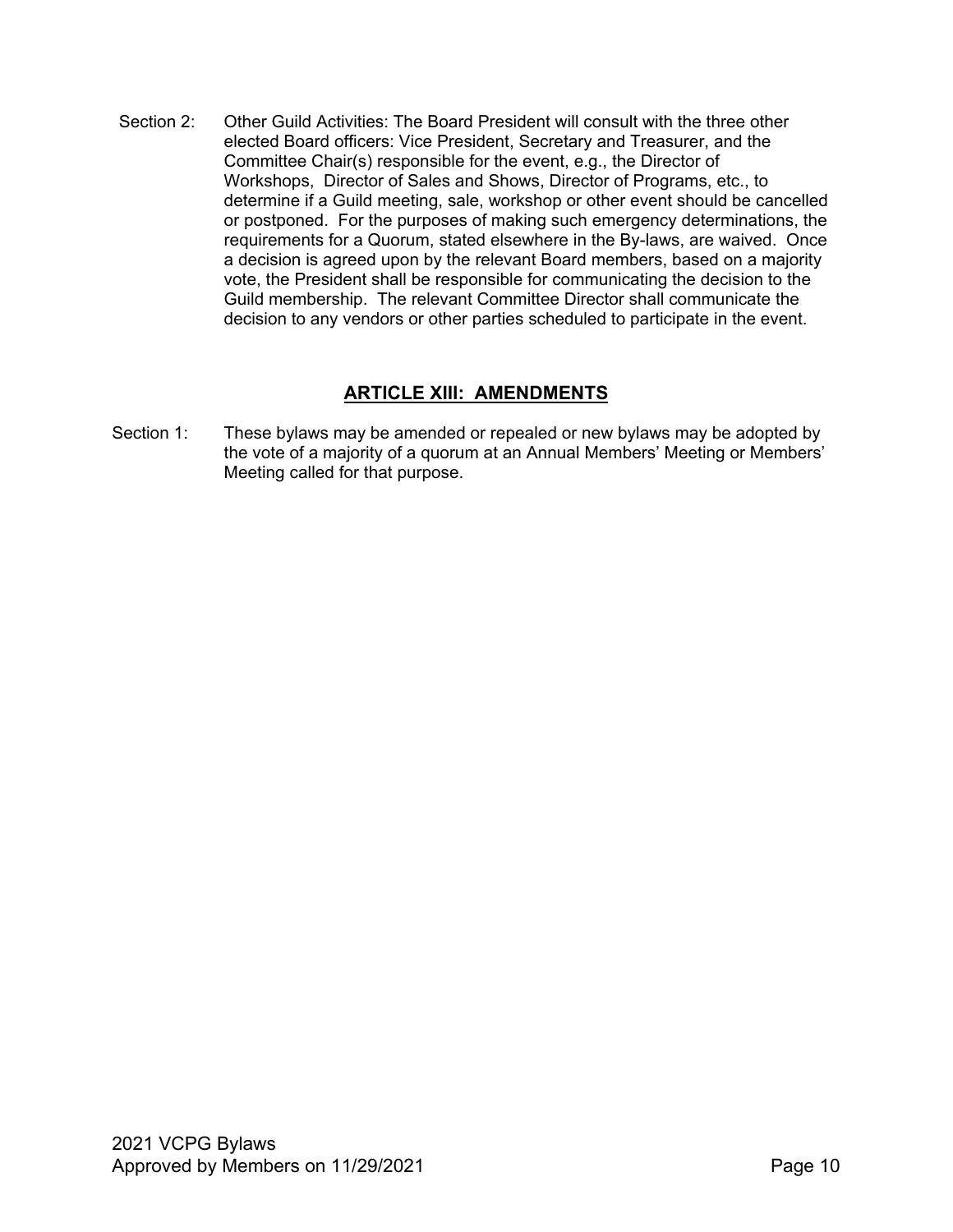Section 2: Other Guild Activities: The Board President will consult with the three other elected Board officers: Vice President, Secretary and Treasurer, and the Committee Chair(s) responsible for the event, e.g., the Director of Workshops, Director of Sales and Shows, Director of Programs, etc., to determine if a Guild meeting, sale, workshop or other event should be cancelled or postponed. For the purposes of making such emergency determinations, the requirements for a Quorum, stated elsewhere in the By-laws, are waived. Once a decision is agreed upon by the relevant Board members, based on a majority vote, the President shall be responsible for communicating the decision to the Guild membership. The relevant Committee Director shall communicate the decision to any vendors or other parties scheduled to participate in the event.

#### **ARTICLE XIII: AMENDMENTS**

Section 1: These bylaws may be amended or repealed or new bylaws may be adopted by the vote of a majority of a quorum at an Annual Members' Meeting or Members' Meeting called for that purpose.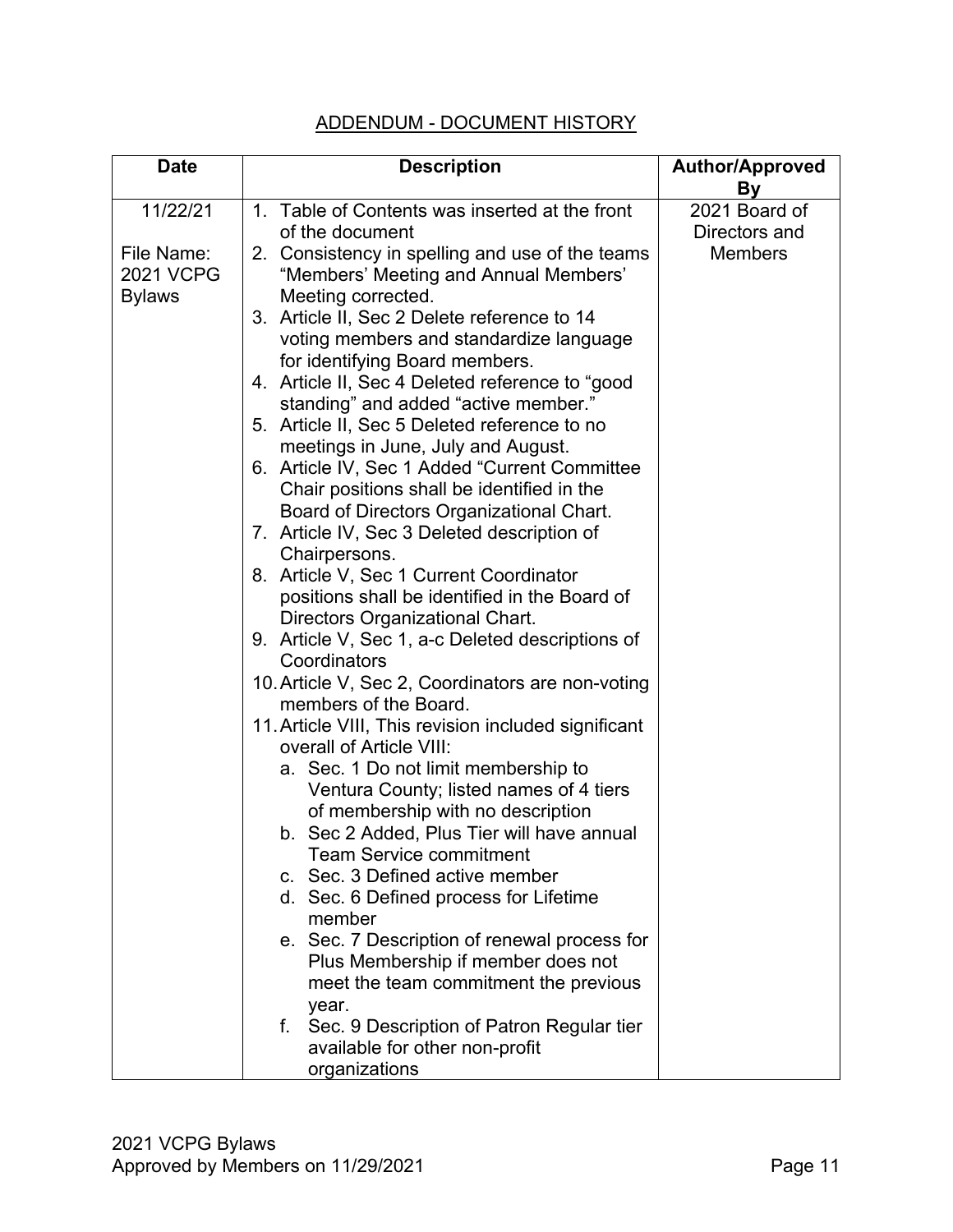### ADDENDUM - DOCUMENT HISTORY

| <b>Date</b>                                     | <b>Description</b>                                                                                                          | <b>Author/Approved</b><br><b>By</b> |
|-------------------------------------------------|-----------------------------------------------------------------------------------------------------------------------------|-------------------------------------|
| 11/22/21                                        | 1. Table of Contents was inserted at the front<br>of the document                                                           | 2021 Board of<br>Directors and      |
| File Name:<br><b>2021 VCPG</b><br><b>Bylaws</b> | 2. Consistency in spelling and use of the teams<br>"Members' Meeting and Annual Members'<br>Meeting corrected.              | <b>Members</b>                      |
|                                                 | 3. Article II, Sec 2 Delete reference to 14<br>voting members and standardize language<br>for identifying Board members.    |                                     |
|                                                 | 4. Article II, Sec 4 Deleted reference to "good<br>standing" and added "active member."                                     |                                     |
|                                                 | 5. Article II, Sec 5 Deleted reference to no<br>meetings in June, July and August.                                          |                                     |
|                                                 | 6. Article IV, Sec 1 Added "Current Committee"<br>Chair positions shall be identified in the                                |                                     |
|                                                 | Board of Directors Organizational Chart.<br>7. Article IV, Sec 3 Deleted description of<br>Chairpersons.                    |                                     |
|                                                 | 8. Article V, Sec 1 Current Coordinator<br>positions shall be identified in the Board of<br>Directors Organizational Chart. |                                     |
|                                                 | 9. Article V, Sec 1, a-c Deleted descriptions of<br>Coordinators                                                            |                                     |
|                                                 | 10. Article V, Sec 2, Coordinators are non-voting<br>members of the Board.                                                  |                                     |
|                                                 | 11. Article VIII, This revision included significant<br>overall of Article VIII:                                            |                                     |
|                                                 | a. Sec. 1 Do not limit membership to<br>Ventura County; listed names of 4 tiers<br>of membership with no description        |                                     |
|                                                 | b. Sec 2 Added, Plus Tier will have annual<br><b>Team Service commitment</b>                                                |                                     |
|                                                 | c. Sec. 3 Defined active member<br>d. Sec. 6 Defined process for Lifetime<br>member                                         |                                     |
|                                                 | e. Sec. 7 Description of renewal process for<br>Plus Membership if member does not<br>meet the team commitment the previous |                                     |
|                                                 | year.<br>Sec. 9 Description of Patron Regular tier<br>f.<br>available for other non-profit<br>organizations                 |                                     |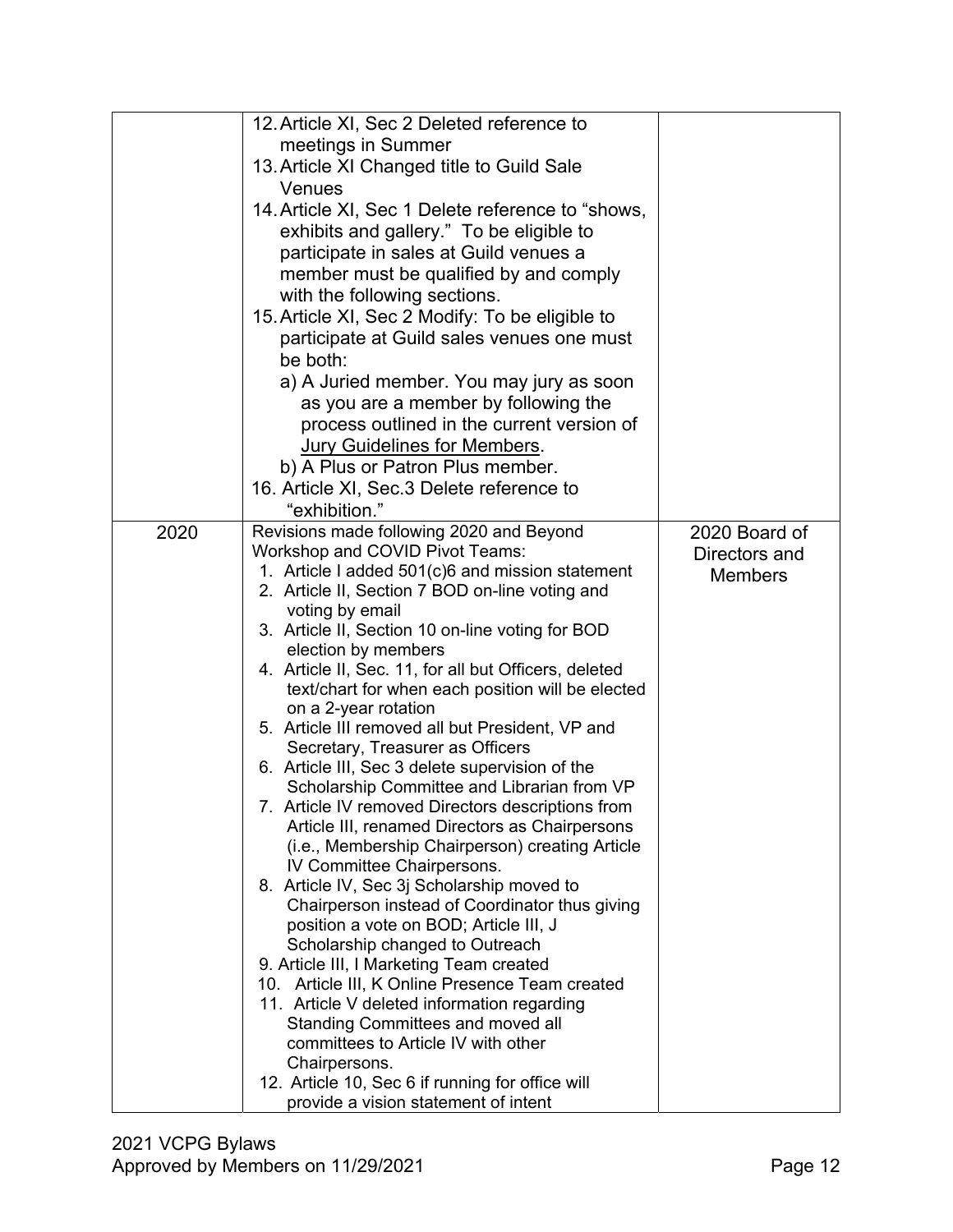| 12. Article XI, Sec 2 Deleted reference to                         |  |
|--------------------------------------------------------------------|--|
| meetings in Summer                                                 |  |
| 13. Article XI Changed title to Guild Sale                         |  |
| Venues                                                             |  |
| 14. Article XI, Sec 1 Delete reference to "shows,                  |  |
| exhibits and gallery." To be eligible to                           |  |
| participate in sales at Guild venues a                             |  |
| member must be qualified by and comply                             |  |
|                                                                    |  |
| with the following sections.                                       |  |
| 15. Article XI, Sec 2 Modify: To be eligible to                    |  |
| participate at Guild sales venues one must                         |  |
| be both:                                                           |  |
| a) A Juried member. You may jury as soon                           |  |
| as you are a member by following the                               |  |
| process outlined in the current version of                         |  |
| <b>Jury Guidelines for Members.</b>                                |  |
| b) A Plus or Patron Plus member.                                   |  |
| 16. Article XI, Sec.3 Delete reference to                          |  |
| "exhibition."                                                      |  |
| Revisions made following 2020 and Beyond<br>2020<br>2020 Board of  |  |
| Workshop and COVID Pivot Teams:<br>Directors and                   |  |
| 1. Article I added 501(c)6 and mission statement<br><b>Members</b> |  |
| 2. Article II, Section 7 BOD on-line voting and                    |  |
| voting by email                                                    |  |
| 3. Article II, Section 10 on-line voting for BOD                   |  |
| election by members                                                |  |
| 4. Article II, Sec. 11, for all but Officers, deleted              |  |
| text/chart for when each position will be elected                  |  |
| on a 2-year rotation                                               |  |
| 5. Article III removed all but President, VP and                   |  |
| Secretary, Treasurer as Officers                                   |  |
| 6. Article III, Sec 3 delete supervision of the                    |  |
| Scholarship Committee and Librarian from VP                        |  |
| 7. Article IV removed Directors descriptions from                  |  |
| Article III, renamed Directors as Chairpersons                     |  |
| (i.e., Membership Chairperson) creating Article                    |  |
| IV Committee Chairpersons.                                         |  |
| 8. Article IV, Sec 3j Scholarship moved to                         |  |
| Chairperson instead of Coordinator thus giving                     |  |
| position a vote on BOD; Article III, J                             |  |
| Scholarship changed to Outreach                                    |  |
|                                                                    |  |
| 9. Article III, I Marketing Team created                           |  |
| 10. Article III, K Online Presence Team created                    |  |
| 11. Article V deleted information regarding                        |  |
| <b>Standing Committees and moved all</b>                           |  |
| committees to Article IV with other                                |  |
| Chairpersons.<br>12. Article 10, Sec 6 if running for office will  |  |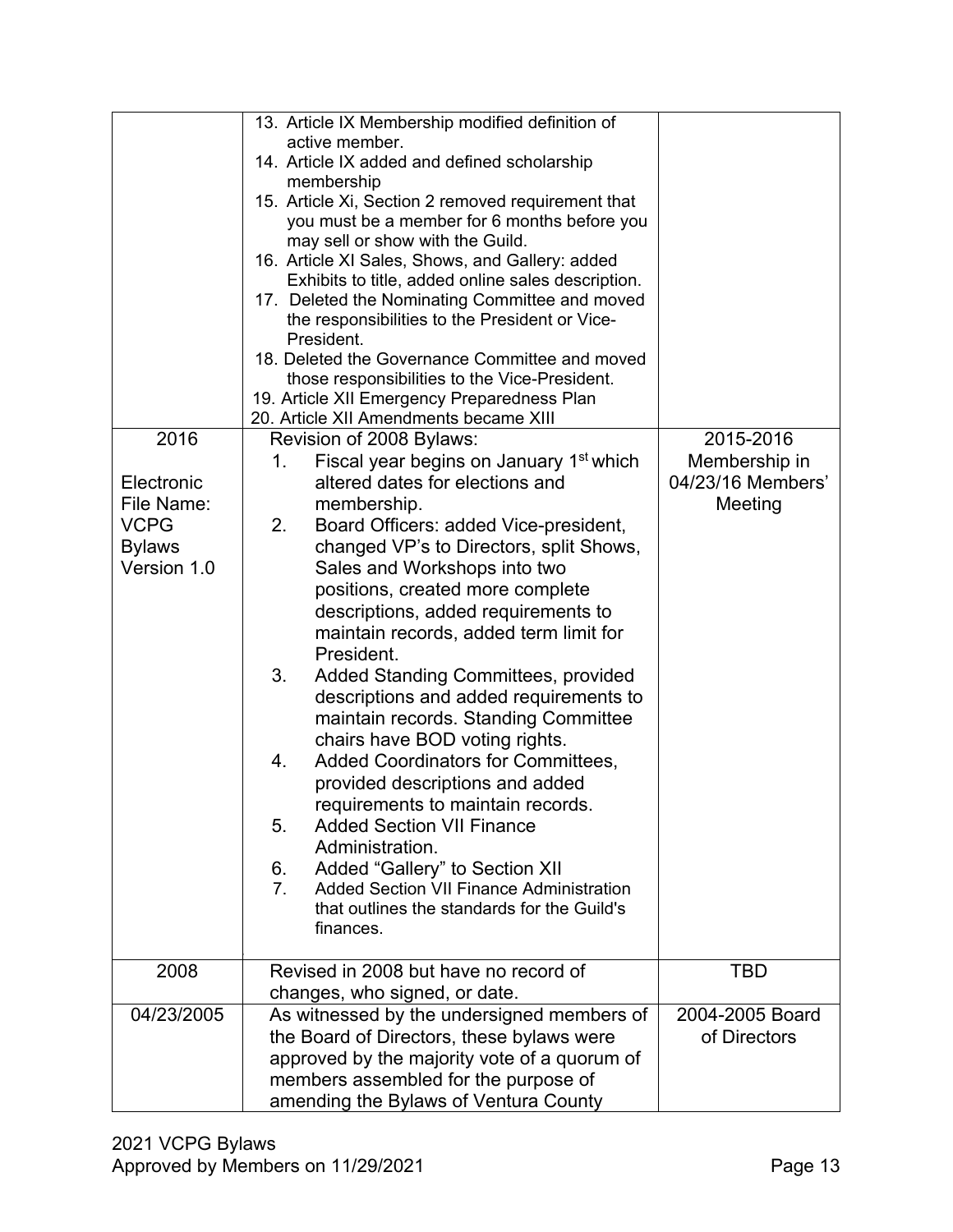| 2016<br>Electronic<br>File Name:<br><b>VCPG</b><br><b>Bylaws</b><br>Version 1.0 | 13. Article IX Membership modified definition of<br>active member.<br>14. Article IX added and defined scholarship<br>membership<br>15. Article Xi, Section 2 removed requirement that<br>you must be a member for 6 months before you<br>may sell or show with the Guild.<br>16. Article XI Sales, Shows, and Gallery: added<br>Exhibits to title, added online sales description.<br>17. Deleted the Nominating Committee and moved<br>the responsibilities to the President or Vice-<br>President.<br>18. Deleted the Governance Committee and moved<br>those responsibilities to the Vice-President.<br>19. Article XII Emergency Preparedness Plan<br>20. Article XII Amendments became XIII<br>Revision of 2008 Bylaws:<br>Fiscal year begins on January 1 <sup>st</sup> which<br>1.<br>altered dates for elections and<br>membership.<br>2.<br>Board Officers: added Vice-president,<br>changed VP's to Directors, split Shows,<br>Sales and Workshops into two<br>positions, created more complete<br>descriptions, added requirements to<br>maintain records, added term limit for<br>President.<br>3.<br>Added Standing Committees, provided<br>descriptions and added requirements to<br>maintain records. Standing Committee<br>chairs have BOD voting rights.<br>Added Coordinators for Committees,<br>4. | 2015-2016<br>Membership in<br>04/23/16 Members'<br>Meeting |
|---------------------------------------------------------------------------------|------------------------------------------------------------------------------------------------------------------------------------------------------------------------------------------------------------------------------------------------------------------------------------------------------------------------------------------------------------------------------------------------------------------------------------------------------------------------------------------------------------------------------------------------------------------------------------------------------------------------------------------------------------------------------------------------------------------------------------------------------------------------------------------------------------------------------------------------------------------------------------------------------------------------------------------------------------------------------------------------------------------------------------------------------------------------------------------------------------------------------------------------------------------------------------------------------------------------------------------------------------------------------------------------------------------------|------------------------------------------------------------|
|                                                                                 | provided descriptions and added<br>requirements to maintain records<br><b>Added Section VII Finance</b><br>5.<br>Administration.<br>Added "Gallery" to Section XII<br>6.<br>7 <sup>1</sup><br><b>Added Section VII Finance Administration</b><br>that outlines the standards for the Guild's                                                                                                                                                                                                                                                                                                                                                                                                                                                                                                                                                                                                                                                                                                                                                                                                                                                                                                                                                                                                                           |                                                            |
|                                                                                 | finances.                                                                                                                                                                                                                                                                                                                                                                                                                                                                                                                                                                                                                                                                                                                                                                                                                                                                                                                                                                                                                                                                                                                                                                                                                                                                                                              |                                                            |
| 2008                                                                            | Revised in 2008 but have no record of<br>changes, who signed, or date.                                                                                                                                                                                                                                                                                                                                                                                                                                                                                                                                                                                                                                                                                                                                                                                                                                                                                                                                                                                                                                                                                                                                                                                                                                                 | TBD                                                        |
| 04/23/2005                                                                      | As witnessed by the undersigned members of<br>the Board of Directors, these bylaws were<br>approved by the majority vote of a quorum of<br>members assembled for the purpose of<br>amending the Bylaws of Ventura County                                                                                                                                                                                                                                                                                                                                                                                                                                                                                                                                                                                                                                                                                                                                                                                                                                                                                                                                                                                                                                                                                               | 2004-2005 Board<br>of Directors                            |